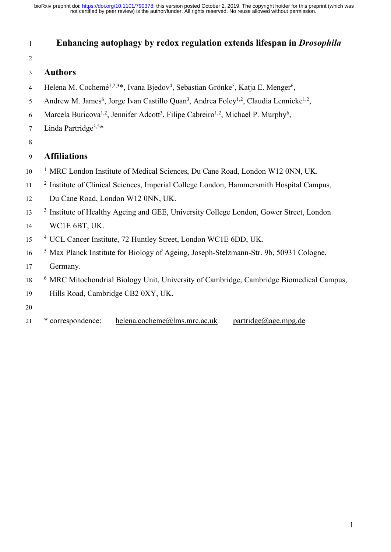## **Enhancing autophagy by redox regulation extends lifespan in** *Drosophila*

### **Authors**

- 4 Helena M. Cochemé<sup>1,2,3\*</sup>, Ivana Bjedov<sup>4</sup>, Sebastian Grönke<sup>5</sup>, Katja E. Menger<sup>6</sup>,
- 5 Andrew M. James<sup>6</sup>, Jorge Ivan Castillo Quan<sup>3</sup>, Andrea Foley<sup>1,2</sup>, Claudia Lennicke<sup>1,2</sup>,
- 6 Marcela Buricova<sup>1,2</sup>, Jennifer Adcott<sup>3</sup>, Filipe Cabreiro<sup>1,2</sup>, Michael P. Murphy<sup>6</sup>,
- 7 Linda Partridge<sup>3,5\*</sup>
- 

## **Affiliations**

- <sup>1</sup> MRC London Institute of Medical Sciences, Du Cane Road, London W12 0NN, UK.
- <sup>2</sup> Institute of Clinical Sciences, Imperial College London, Hammersmith Hospital Campus,
- Du Cane Road, London W12 0NN, UK.
- <sup>3</sup> Institute of Healthy Ageing and GEE, University College London, Gower Street, London
- WC1E 6BT, UK.
- <sup>4</sup> UCL Cancer Institute, 72 Huntley Street, London WC1E 6DD, UK.
- <sup>5</sup> Max Planck Institute for Biology of Ageing, Joseph-Stelzmann-Str. 9b, 50931 Cologne, Germany.
- <sup>6</sup> MRC Mitochondrial Biology Unit, University of Cambridge, Cambridge Biomedical Campus,
- Hills Road, Cambridge CB2 0XY, UK.
- 
- \* correspondence: helena.cocheme@lms.mrc.ac.uk partridge@age.mpg.de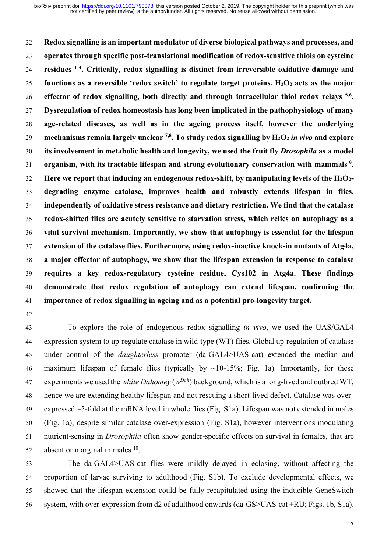**Redox signalling is an important modulator of diverse biological pathways and processes, and operates through specific post-translational modification of redox-sensitive thiols on cysteine residues 1-4 . Critically, redox signalling is distinct from irreversible oxidative damage and functions as a reversible 'redox switch' to regulate target proteins. H2O2 acts as the major effector of redox signalling, both directly and through intracellular thiol redox relays 5,6 . Dysregulation of redox homeostasis has long been implicated in the pathophysiology of many age-related diseases, as well as in the ageing process itself, however the underlying mechanisms remain largely unclear 7,8 . To study redox signalling by H2O2** *in vivo* **and explore its involvement in metabolic health and longevity, we used the fruit fly** *Drosophila* **as a model organism, with its tractable lifespan and strong evolutionary conservation with mammals <sup>9</sup> . Here we report that inducing an endogenous redox-shift, by manipulating levels of the H2O2- degrading enzyme catalase, improves health and robustly extends lifespan in flies, independently of oxidative stress resistance and dietary restriction. We find that the catalase redox-shifted flies are acutely sensitive to starvation stress, which relies on autophagy as a vital survival mechanism. Importantly, we show that autophagy is essential for the lifespan extension of the catalase flies. Furthermore, using redox-inactive knock-in mutants of Atg4a, a major effector of autophagy, we show that the lifespan extension in response to catalase requires a key redox-regulatory cysteine residue, Cys102 in Atg4a. These findings demonstrate that redox regulation of autophagy can extend lifespan, confirming the importance of redox signalling in ageing and as a potential pro-longevity target.**

 To explore the role of endogenous redox signalling *in vivo*, we used the UAS/GAL4 expression system to up-regulate catalase in wild-type (WT) flies. Global up-regulation of catalase under control of the *daughterless* promoter (da-GAL4>UAS-cat) extended the median and 46 maximum lifespan of female flies (typically by  $\sim$ 10-15%; Fig. 1a). Importantly, for these experiments we used the *white Dahomey* (*wDah* ) background, which is a long-lived and outbred WT, hence we are extending healthy lifespan and not rescuing a short-lived defect. Catalase was over- expressed ~5-fold at the mRNA level in whole flies (Fig. S1a). Lifespan was not extended in males (Fig. 1a), despite similar catalase over-expression (Fig. S1a), however interventions modulating nutrient-sensing in *Drosophila* often show gender-specific effects on survival in females, that are absent or marginal in males  $10$ .

 The da-GAL4>UAS-cat flies were mildly delayed in eclosing, without affecting the proportion of larvae surviving to adulthood (Fig. S1b). To exclude developmental effects, we showed that the lifespan extension could be fully recapitulated using the inducible GeneSwitch system, with over-expression from d2 of adulthood onwards (da-GS>UAS-cat ±RU; Figs. 1b, S1a).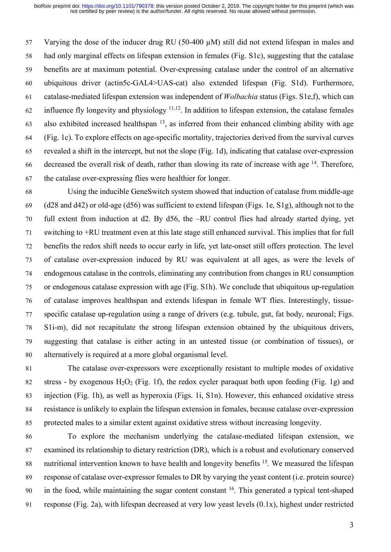Varying the dose of the inducer drug RU (50-400 µM) still did not extend lifespan in males and had only marginal effects on lifespan extension in females (Fig. S1c), suggesting that the catalase benefits are at maximum potential. Over-expressing catalase under the control of an alternative ubiquitous driver (actin5c-GAL4>UAS-cat) also extended lifespan (Fig. S1d). Furthermore, catalase-mediated lifespan extension was independent of *Wolbachia* status (Figs. S1e,f), which can 62 influence fly longevity and physiology  $11,12$ . In addition to lifespan extension, the catalase females 63 also exhibited increased healthspan  $^{13}$ , as inferred from their enhanced climbing ability with age (Fig. 1c). To explore effects on age-specific mortality, trajectories derived from the survival curves revealed a shift in the intercept, but not the slope (Fig. 1d), indicating that catalase over-expression 66 decreased the overall risk of death, rather than slowing its rate of increase with age . Therefore, the catalase over-expressing flies were healthier for longer.

 Using the inducible GeneSwitch system showed that induction of catalase from middle-age (d28 and d42) or old-age (d56) was sufficient to extend lifespan (Figs. 1e, S1g), although not to the full extent from induction at d2. By d56, the –RU control flies had already started dying, yet switching to +RU treatment even at this late stage still enhanced survival. This implies that for full benefits the redox shift needs to occur early in life, yet late-onset still offers protection. The level of catalase over-expression induced by RU was equivalent at all ages, as were the levels of endogenous catalase in the controls, eliminating any contribution from changes in RU consumption or endogenous catalase expression with age (Fig. S1h). We conclude that ubiquitous up-regulation of catalase improves healthspan and extends lifespan in female WT flies. Interestingly, tissue- specific catalase up-regulation using a range of drivers (e.g. tubule, gut, fat body, neuronal; Figs. S1i-m), did not recapitulate the strong lifespan extension obtained by the ubiquitous drivers, suggesting that catalase is either acting in an untested tissue (or combination of tissues), or alternatively is required at a more global organismal level.

 The catalase over-expressors were exceptionally resistant to multiple modes of oxidative 82 stress - by exogenous  $H_2O_2$  (Fig. 1f), the redox cycler paraquat both upon feeding (Fig. 1g) and injection (Fig. 1h), as well as hyperoxia (Figs. 1i, S1n). However, this enhanced oxidative stress resistance is unlikely to explain the lifespan extension in females, because catalase over-expression protected males to a similar extent against oxidative stress without increasing longevity.

 To explore the mechanism underlying the catalase-mediated lifespan extension, we examined its relationship to dietary restriction (DR), which is a robust and evolutionary conserved 88 nutritional intervention known to have health and longevity benefits . We measured the lifespan response of catalase over-expressor females to DR by varying the yeast content (i.e. protein source) 90 in the food, while maintaining the sugar content constant . This generated a typical tent-shaped response (Fig. 2a), with lifespan decreased at very low yeast levels (0.1x), highest under restricted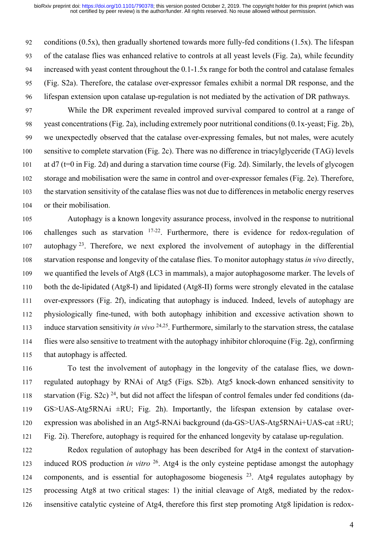conditions (0.5x), then gradually shortened towards more fully-fed conditions (1.5x). The lifespan of the catalase flies was enhanced relative to controls at all yeast levels (Fig. 2a), while fecundity increased with yeast content throughout the 0.1-1.5x range for both the control and catalase females (Fig. S2a). Therefore, the catalase over-expressor females exhibit a normal DR response, and the lifespan extension upon catalase up-regulation is not mediated by the activation of DR pathways.

 While the DR experiment revealed improved survival compared to control at a range of yeast concentrations (Fig. 2a), including extremely poor nutritional conditions (0.1x-yeast; Fig. 2b), we unexpectedly observed that the catalase over-expressing females, but not males, were acutely sensitive to complete starvation (Fig. 2c). There was no difference in triacylglyceride (TAG) levels at d7 (t=0 in Fig. 2d) and during a starvation time course (Fig. 2d). Similarly, the levels of glycogen storage and mobilisation were the same in control and over-expressor females (Fig. 2e). Therefore, the starvation sensitivity of the catalase flies was not due to differences in metabolic energy reserves or their mobilisation.

 Autophagy is a known longevity assurance process, involved in the response to nutritional 106 challenges such as starvation  $17-22$ . Furthermore, there is evidence for redox-regulation of 107 autophagy . Therefore, we next explored the involvement of autophagy in the differential starvation response and longevity of the catalase flies. To monitor autophagy status *in vivo* directly, we quantified the levels of Atg8 (LC3 in mammals), a major autophagosome marker. The levels of both the de-lipidated (Atg8-I) and lipidated (Atg8-II) forms were strongly elevated in the catalase over-expressors (Fig. 2f), indicating that autophagy is induced. Indeed, levels of autophagy are physiologically fine-tuned, with both autophagy inhibition and excessive activation shown to induce starvation sensitivity *in vivo* <sup>24,25</sup>. Furthermore, similarly to the starvation stress, the catalase flies were also sensitive to treatment with the autophagy inhibitor chloroquine (Fig. 2g), confirming that autophagy is affected.

 To test the involvement of autophagy in the longevity of the catalase flies, we down- regulated autophagy by RNAi of Atg5 (Figs. S2b). Atg5 knock-down enhanced sensitivity to 118 starvation (Fig. S2c)  $^{24}$ , but did not affect the lifespan of control females under fed conditions (da- GS>UAS-Atg5RNAi ±RU; Fig. 2h). Importantly, the lifespan extension by catalase over- expression was abolished in an Atg5-RNAi background (da-GS>UAS-Atg5RNAi+UAS-cat ±RU; Fig. 2i). Therefore, autophagy is required for the enhanced longevity by catalase up-regulation.

 Redox regulation of autophagy has been described for Atg4 in the context of starvationinduced ROS production *in vitro* <sup>26</sup>. Atg4 is the only cysteine peptidase amongst the autophagy 124 components, and is essential for autophagosome biogenesis  $2<sup>3</sup>$ . Atg4 regulates autophagy by processing Atg8 at two critical stages: 1) the initial cleavage of Atg8, mediated by the redox-insensitive catalytic cysteine of Atg4, therefore this first step promoting Atg8 lipidation is redox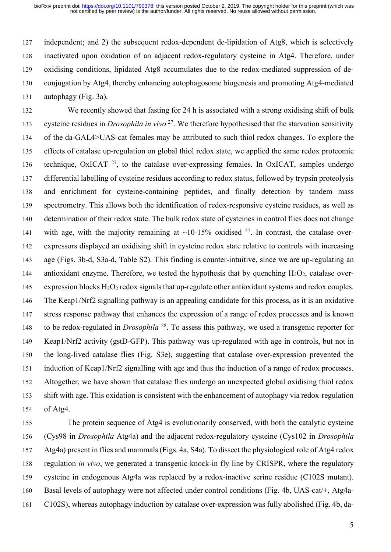independent; and 2) the subsequent redox-dependent de-lipidation of Atg8, which is selectively inactivated upon oxidation of an adjacent redox-regulatory cysteine in Atg4. Therefore, under oxidising conditions, lipidated Atg8 accumulates due to the redox-mediated suppression of de- conjugation by Atg4, thereby enhancing autophagosome biogenesis and promoting Atg4-mediated autophagy (Fig. 3a).

 We recently showed that fasting for 24 h is associated with a strong oxidising shift of bulk cysteine residues in *Drosophila* in vivo <sup>27</sup>. We therefore hypothesised that the starvation sensitivity of the da-GAL4>UAS-cat females may be attributed to such thiol redox changes. To explore the effects of catalase up-regulation on global thiol redox state, we applied the same redox proteomic technique, OxICAT , to the catalase over-expressing females. In OxICAT, samples undergo differential labelling of cysteine residues according to redox status, followed by trypsin proteolysis and enrichment for cysteine-containing peptides, and finally detection by tandem mass spectrometry. This allows both the identification of redox-responsive cysteine residues, as well as determination of their redox state. The bulk redox state of cysteines in control flies does not change 141 with age, with the majority remaining at  $\sim$ 10-15% oxidised <sup>27</sup>. In contrast, the catalase over- expressors displayed an oxidising shift in cysteine redox state relative to controls with increasing age (Figs. 3b-d, S3a-d, Table S2). This finding is counter-intuitive, since we are up-regulating an 144 antioxidant enzyme. Therefore, we tested the hypothesis that by quenching  $H_2O_2$ , catalase over-145 expression blocks  $H_2O_2$  redox signals that up-regulate other antioxidant systems and redox couples. The Keap1/Nrf2 signalling pathway is an appealing candidate for this process, as it is an oxidative stress response pathway that enhances the expression of a range of redox processes and is known to be redox-regulated in *Drosophila* <sup>28</sup>. To assess this pathway, we used a transgenic reporter for Keap1/Nrf2 activity (gstD-GFP). This pathway was up-regulated with age in controls, but not in the long-lived catalase flies (Fig. S3e), suggesting that catalase over-expression prevented the induction of Keap1/Nrf2 signalling with age and thus the induction of a range of redox processes. Altogether, we have shown that catalase flies undergo an unexpected global oxidising thiol redox shift with age. This oxidation is consistent with the enhancement of autophagy via redox-regulation of Atg4.

 The protein sequence of Atg4 is evolutionarily conserved, with both the catalytic cysteine (Cys98 in *Drosophila* Atg4a) and the adjacent redox-regulatory cysteine (Cys102 in *Drosophila* Atg4a) present in flies and mammals (Figs. 4a, S4a). To dissect the physiological role of Atg4 redox regulation *in vivo*, we generated a transgenic knock-in fly line by CRISPR, where the regulatory cysteine in endogenous Atg4a was replaced by a redox-inactive serine residue (C102S mutant). Basal levels of autophagy were not affected under control conditions (Fig. 4b, UAS-cat/+, Atg4a-C102S), whereas autophagy induction by catalase over-expression was fully abolished (Fig. 4b, da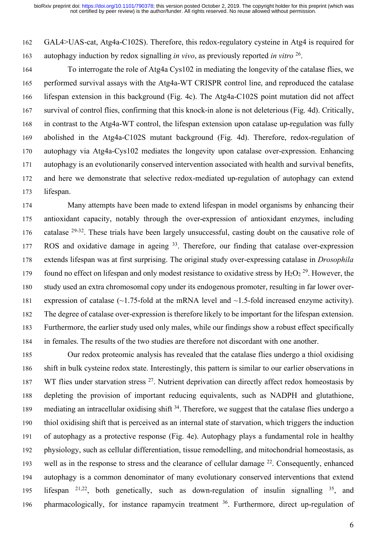GAL4>UAS-cat, Atg4a-C102S). Therefore, this redox-regulatory cysteine in Atg4 is required for autophagy induction by redox signalling *in vivo*, as previously reported *in vitro* <sup>26</sup>.

 To interrogate the role of Atg4a Cys102 in mediating the longevity of the catalase flies, we performed survival assays with the Atg4a-WT CRISPR control line, and reproduced the catalase lifespan extension in this background (Fig. 4c). The Atg4a-C102S point mutation did not affect survival of control flies, confirming that this knock-in alone is not deleterious (Fig. 4d). Critically, in contrast to the Atg4a-WT control, the lifespan extension upon catalase up-regulation was fully abolished in the Atg4a-C102S mutant background (Fig. 4d). Therefore, redox-regulation of autophagy via Atg4a-Cys102 mediates the longevity upon catalase over-expression. Enhancing autophagy is an evolutionarily conserved intervention associated with health and survival benefits, and here we demonstrate that selective redox-mediated up-regulation of autophagy can extend lifespan.

 Many attempts have been made to extend lifespan in model organisms by enhancing their antioxidant capacity, notably through the over-expression of antioxidant enzymes, including 176 catalase  $29-32$ . These trials have been largely unsuccessful, casting doubt on the causative role of  $ROS$  and oxidative damage in ageing  $33$ . Therefore, our finding that catalase over-expression extends lifespan was at first surprising. The original study over-expressing catalase in *Drosophila*  found no effect on lifespan and only modest resistance to oxidative stress by  $H_2O_2^{29}$ . However, the study used an extra chromosomal copy under its endogenous promoter, resulting in far lower over- expression of catalase (~1.75-fold at the mRNA level and ~1.5-fold increased enzyme activity). The degree of catalase over-expression is therefore likely to be important for the lifespan extension. Furthermore, the earlier study used only males, while our findings show a robust effect specifically in females. The results of the two studies are therefore not discordant with one another.

 Our redox proteomic analysis has revealed that the catalase flies undergo a thiol oxidising shift in bulk cysteine redox state. Interestingly, this pattern is similar to our earlier observations in 187 WT flies under starvation stress . Nutrient deprivation can directly affect redox homeostasis by depleting the provision of important reducing equivalents, such as NADPH and glutathione, 189 mediating an intracellular oxidising shift . Therefore, we suggest that the catalase flies undergo a thiol oxidising shift that is perceived as an internal state of starvation, which triggers the induction of autophagy as a protective response (Fig. 4e). Autophagy plays a fundamental role in healthy physiology, such as cellular differentiation, tissue remodelling, and mitochondrial homeostasis, as 193 well as in the response to stress and the clearance of cellular damage  $^{22}$ . Consequently, enhanced autophagy is a common denominator of many evolutionary conserved interventions that extend 195 lifespan  $2^{1,22}$ , both genetically, such as down-regulation of insulin signalling  $35$ , and 196 pharmacologically, for instance rapamycin treatment . Furthermore, direct up-regulation of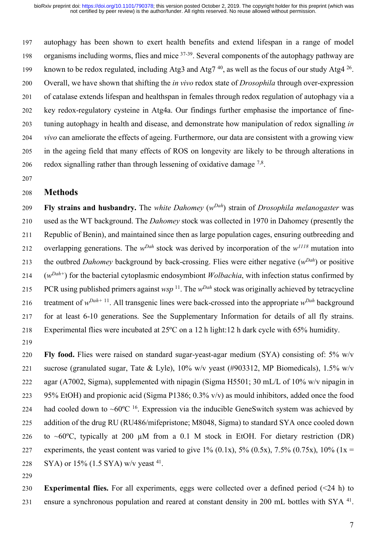autophagy has been shown to exert health benefits and extend lifespan in a range of model 198 organisms including worms, flies and mice  $37-39$ . Several components of the autophagy pathway are 199 known to be redox regulated, including Atg3 and Atg7<sup>40</sup>, as well as the focus of our study Atg4<sup>26</sup>. Overall, we have shown that shifting the *in vivo* redox state of *Drosophila* through over-expression of catalase extends lifespan and healthspan in females through redox regulation of autophagy via a key redox-regulatory cysteine in Atg4a. Our findings further emphasise the importance of fine- tuning autophagy in health and disease, and demonstrate how manipulation of redox signalling *in vivo* can ameliorate the effects of ageing. Furthermore, our data are consistent with a growing view in the ageing field that many effects of ROS on longevity are likely to be through alterations in 206 redox signalling rather than through lessening of oxidative damage  $^{7,8}$ .

#### **Methods**

**Fly strains and husbandry.** The *white Dahomey* (*wDah* ) strain of *Drosophila melanogaster* was used as the WT background. The *Dahomey* stock was collected in 1970 in Dahomey (presently the Republic of Benin), and maintained since then as large population cages, ensuring outbreeding and overlapping generations. The  $w<sup>Dah</sup>$  stock was derived by incorporation of the  $w<sup>1118</sup>$  mutation into the outbred *Dahomey* background by back-crossing. Flies were either negative ( $w<sup>Dah</sup>$ ) or positive  $(214 \quad (w^{Dah+})$  for the bacterial cytoplasmic endosymbiont *Wolbachia*, with infection status confirmed by 215 PCR using published primers against  $wsp$ <sup>11</sup>. The  $w<sup>Dah</sup>$  stock was originally achieved by tetracycline 216 treatment of  $w^{Dah+11}$ . All transgenic lines were back-crossed into the appropriate  $w^{Dah}$  background for at least 6-10 generations. See the Supplementary Information for details of all fly strains. Experimental flies were incubated at 25ºC on a 12 h light:12 h dark cycle with 65% humidity. 

 **Fly food.** Flies were raised on standard sugar-yeast-agar medium (SYA) consisting of: 5% w/v sucrose (granulated sugar, Tate & Lyle), 10% w/v yeast (#903312, MP Biomedicals), 1.5% w/v agar (A7002, Sigma), supplemented with nipagin (Sigma H5501; 30 mL/L of 10% w/v nipagin in 95% EtOH) and propionic acid (Sigma P1386; 0.3% v/v) as mould inhibitors, added once the food 224 had cooled down to ~60 $^{\circ}$ C <sup>16</sup>. Expression via the inducible GeneSwitch system was achieved by addition of the drug RU (RU486/mifepristone; M8048, Sigma) to standard SYA once cooled down 226 to ~60 $^{\circ}$ C, typically at 200 µM from a 0.1 M stock in EtOH. For dietary restriction (DR) 227 experiments, the yeast content was varied to give  $1\%$  (0.1x),  $5\%$  (0.5x),  $7.5\%$  (0.75x),  $10\%$  (1x = 228 SYA) or  $15\%$  (1.5 SYA) w/v yeast <sup>41</sup>.

 **Experimental flies.** For all experiments, eggs were collected over a defined period (<24 h) to 231 ensure a synchronous population and reared at constant density in 200 mL bottles with SYA<sup>41</sup>.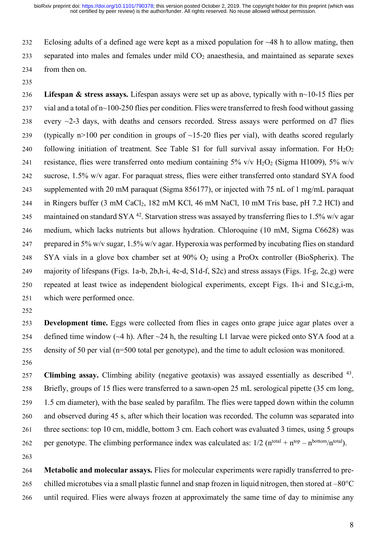232 Eclosing adults of a defined age were kept as a mixed population for  $\sim$ 48 h to allow mating, then separated into males and females under mild CO2 anaesthesia, and maintained as separate sexes from then on.

 **Lifespan & stress assays.** Lifespan assays were set up as above, typically with n~10-15 flies per vial and a total of n~100-250 flies per condition. Flies were transferred to fresh food without gassing 238 every  $\sim$ 2-3 days, with deaths and censors recorded. Stress assays were performed on d7 flies 239 (typically n>100 per condition in groups of  $\sim$ 15-20 flies per vial), with deaths scored regularly 240 following initiation of treatment. See Table S1 for full survival assay information. For  $H_2O_2$ 241 resistance, flies were transferred onto medium containing  $5\%$  v/v  $H_2O_2$  (Sigma H1009),  $5\%$  w/v sucrose, 1.5% w/v agar. For paraquat stress, flies were either transferred onto standard SYA food supplemented with 20 mM paraquat (Sigma 856177), or injected with 75 nL of 1 mg/mL paraquat 244 in Ringers buffer (3 mM CaCl<sub>2</sub>, 182 mM KCl, 46 mM NaCl, 10 mM Tris base, pH 7.2 HCl) and 245 maintained on standard SYA . Starvation stress was assayed by transferring flies to 1.5% w/v agar medium, which lacks nutrients but allows hydration. Chloroquine (10 mM, Sigma C6628) was prepared in 5% w/v sugar, 1.5% w/v agar. Hyperoxia was performed by incubating flies on standard 248 SYA vials in a glove box chamber set at  $90\%$  O<sub>2</sub> using a ProOx controller (BioSpherix). The majority of lifespans (Figs. 1a-b, 2b,h-i, 4c-d, S1d-f, S2c) and stress assays (Figs. 1f-g, 2c,g) were repeated at least twice as independent biological experiments, except Figs. 1h-i and S1c,g,i-m, which were performed once.

 **Development time.** Eggs were collected from flies in cages onto grape juice agar plates over a 254 defined time window  $(-4 h)$ . After  $-24 h$ , the resulting L1 larvae were picked onto SYA food at a density of 50 per vial (n=500 total per genotype), and the time to adult eclosion was monitored.

**Climbing assay.** Climbing ability (negative geotaxis) was assayed essentially as described <sup>43</sup>. Briefly, groups of 15 flies were transferred to a sawn-open 25 mL serological pipette (35 cm long, 1.5 cm diameter), with the base sealed by parafilm. The flies were tapped down within the column and observed during 45 s, after which their location was recorded. The column was separated into three sections: top 10 cm, middle, bottom 3 cm. Each cohort was evaluated 3 times, using 5 groups 262 per genotype. The climbing performance index was calculated as:  $1/2$  ( $n<sup>total</sup> + n<sup>top</sup> - n<sup>bottom</sup>/n<sup>total</sup>$ ).

 **Metabolic and molecular assays.** Flies for molecular experiments were rapidly transferred to pre-265 chilled microtubes via a small plastic funnel and snap frozen in liquid nitrogen, then stored at  $-80^{\circ}$ C until required. Flies were always frozen at approximately the same time of day to minimise any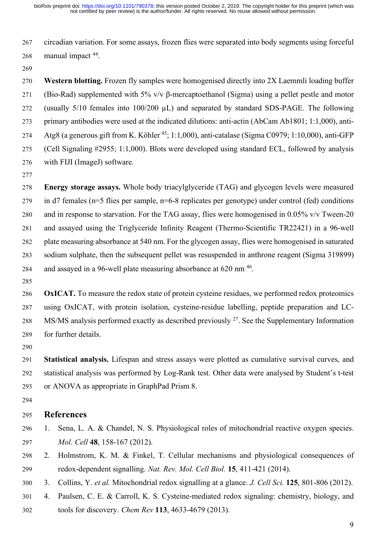circadian variation. For some assays, frozen flies were separated into body segments using forceful 268 manual impact .

 **Western blotting.** Frozen fly samples were homogenised directly into 2X Laemmli loading buffer (Bio-Rad) supplemented with 5% v/v β-mercaptoethanol (Sigma) using a pellet pestle and motor (usually 5/10 females into 100/200 µL) and separated by standard SDS-PAGE. The following primary antibodies were used at the indicated dilutions: anti-actin (AbCam Ab1801; 1:1,000), anti-274 Atg8 (a generous gift from K. Köhler <sup>45</sup>; 1:1,000), anti-catalase (Sigma C0979; 1:10,000), anti-GFP (Cell Signaling #2955; 1:1,000). Blots were developed using standard ECL, followed by analysis with FIJI (ImageJ) software.

 **Energy storage assays.** Whole body triacylglyceride (TAG) and glycogen levels were measured in d7 females (n=5 flies per sample, n=6-8 replicates per genotype) under control (fed) conditions and in response to starvation. For the TAG assay, flies were homogenised in 0.05% v/v Tween-20 and assayed using the Triglyceride Infinity Reagent (Thermo-Scientific TR22421) in a 96-well plate measuring absorbance at 540 nm. For the glycogen assay, flies were homogenised in saturated sodium sulphate, then the subsequent pellet was resuspended in anthrone reagent (Sigma 319899) 284 and assayed in a 96-well plate measuring absorbance at nm  $^{46}$ .

 **OxICAT.** To measure the redox state of protein cysteine residues, we performed redox proteomics using OxICAT, with protein isolation, cysteine-residue labelling, peptide preparation and LC-288 MS/MS analysis performed exactly as described previously  $2^7$ . See the Supplementary Information for further details.

 **Statistical analysis.** Lifespan and stress assays were plotted as cumulative survival curves, and statistical analysis was performed by Log-Rank test. Other data were analysed by Student's t-test or ANOVA as appropriate in GraphPad Prism 8.

#### **References**

- 1. Sena, L. A. & Chandel, N. S. Physiological roles of mitochondrial reactive oxygen species. *Mol. Cell* **48**, 158-167 (2012).
- 2. Holmstrom, K. M. & Finkel, T. Cellular mechanisms and physiological consequences of redox-dependent signalling. *Nat. Rev. Mol. Cell Biol.* **15**, 411-421 (2014).
- 3. Collins, Y. *et al.* Mitochondrial redox signalling at a glance. *J. Cell Sci.* **125**, 801-806 (2012).
- 4. Paulsen, C. E. & Carroll, K. S. Cysteine-mediated redox signaling: chemistry, biology, and tools for discovery. *Chem Rev* **113**, 4633-4679 (2013).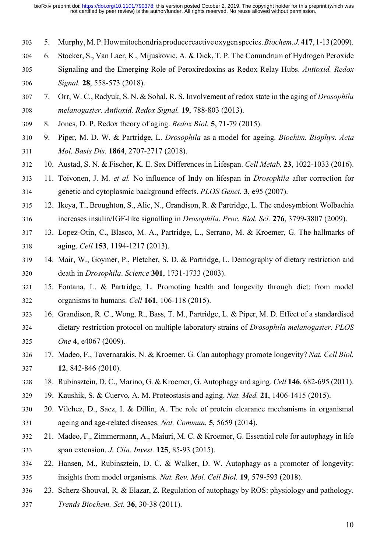- 5. Murphy, M. P.Howmitochondriaproducereactiveoxygenspecies.*Biochem.J.***417**,1-13(2009).
- 6. Stocker, S., Van Laer, K., Mijuskovic, A. & Dick, T. P. The Conundrum of Hydrogen Peroxide Signaling and the Emerging Role of Peroxiredoxins as Redox Relay Hubs. *Antioxid. Redox Signal.* **28**, 558-573 (2018).
- 7. Orr, W. C., Radyuk, S. N. & Sohal, R. S. Involvement of redox state in the aging of *Drosophila melanogaster*. *Antioxid. Redox Signal.* **19**, 788-803 (2013).
- 8. Jones, D. P. Redox theory of aging. *Redox Biol.* **5**, 71-79 (2015).
- 9. Piper, M. D. W. & Partridge, L. *Drosophila* as a model for ageing. *Biochim. Biophys. Acta Mol. Basis Dis.* **1864**, 2707-2717 (2018).
- 10. Austad, S. N. & Fischer, K. E. Sex Differences in Lifespan. *Cell Metab.* **23**, 1022-1033 (2016).
- 11. Toivonen, J. M. *et al.* No influence of Indy on lifespan in *Drosophila* after correction for genetic and cytoplasmic background effects. *PLOS Genet.* **3**, e95 (2007).
- 12. Ikeya, T., Broughton, S., Alic, N., Grandison, R. & Partridge, L. The endosymbiont Wolbachia increases insulin/IGF-like signalling in *Drosophila*. *Proc. Biol. Sci.* **276**, 3799-3807 (2009).
- 13. Lopez-Otin, C., Blasco, M. A., Partridge, L., Serrano, M. & Kroemer, G. The hallmarks of aging. *Cell* **153**, 1194-1217 (2013).
- 14. Mair, W., Goymer, P., Pletcher, S. D. & Partridge, L. Demography of dietary restriction and death in *Drosophila*. *Science* **301**, 1731-1733 (2003).
- 15. Fontana, L. & Partridge, L. Promoting health and longevity through diet: from model organisms to humans. *Cell* **161**, 106-118 (2015).
- 16. Grandison, R. C., Wong, R., Bass, T. M., Partridge, L. & Piper, M. D. Effect of a standardised dietary restriction protocol on multiple laboratory strains of *Drosophila melanogaster*. *PLOS One* **4**, e4067 (2009).
- 17. Madeo, F., Tavernarakis, N. & Kroemer, G. Can autophagy promote longevity? *Nat. Cell Biol.* **12**, 842-846 (2010).
- 18. Rubinsztein, D. C., Marino, G. & Kroemer, G. Autophagy and aging. *Cell* **146**, 682-695 (2011).
- 19. Kaushik, S. & Cuervo, A. M. Proteostasis and aging. *Nat. Med.* **21**, 1406-1415 (2015).
- 20. Vilchez, D., Saez, I. & Dillin, A. The role of protein clearance mechanisms in organismal ageing and age-related diseases. *Nat. Commun.* **5**, 5659 (2014).
- 21. Madeo, F., Zimmermann, A., Maiuri, M. C. & Kroemer, G. Essential role for autophagy in life span extension. *J. Clin. Invest.* **125**, 85-93 (2015).
- 22. Hansen, M., Rubinsztein, D. C. & Walker, D. W. Autophagy as a promoter of longevity: insights from model organisms. *Nat. Rev. Mol. Cell Biol.* **19**, 579-593 (2018).
- 23. Scherz-Shouval, R. & Elazar, Z. Regulation of autophagy by ROS: physiology and pathology. *Trends Biochem. Sci.* **36**, 30-38 (2011).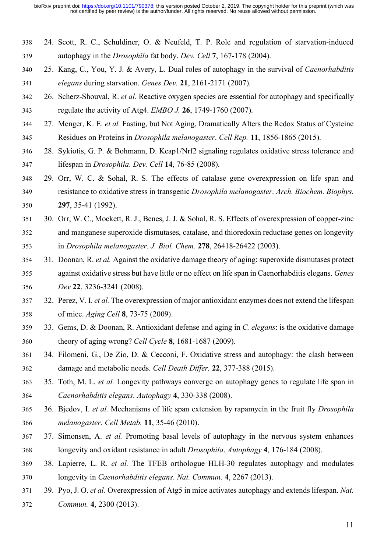- 24. Scott, R. C., Schuldiner, O. & Neufeld, T. P. Role and regulation of starvation-induced autophagy in the *Drosophila* fat body. *Dev. Cell* **7**, 167-178 (2004).
- 25. Kang, C., You, Y. J. & Avery, L. Dual roles of autophagy in the survival of *Caenorhabditis elegans* during starvation. *Genes Dev.* **21**, 2161-2171 (2007).
- 26. Scherz-Shouval, R. *et al.* Reactive oxygen species are essential for autophagy and specifically regulate the activity of Atg4. *EMBO J.* **26**, 1749-1760 (2007).
- 27. Menger, K. E. *et al.* Fasting, but Not Aging, Dramatically Alters the Redox Status of Cysteine Residues on Proteins in *Drosophila melanogaster*. *Cell Rep.* **11**, 1856-1865 (2015).
- 28. Sykiotis, G. P. & Bohmann, D. Keap1/Nrf2 signaling regulates oxidative stress tolerance and lifespan in *Drosophila*. *Dev. Cell* **14**, 76-85 (2008).
- 29. Orr, W. C. & Sohal, R. S. The effects of catalase gene overexpression on life span and resistance to oxidative stress in transgenic *Drosophila melanogaster*. *Arch. Biochem. Biophys.* **297**, 35-41 (1992).
- 30. Orr, W. C., Mockett, R. J., Benes, J. J. & Sohal, R. S. Effects of overexpression of copper-zinc and manganese superoxide dismutases, catalase, and thioredoxin reductase genes on longevity in *Drosophila melanogaster*. *J. Biol. Chem.* **278**, 26418-26422 (2003).
- 31. Doonan, R. *et al.* Against the oxidative damage theory of aging: superoxide dismutases protect against oxidative stress but have little or no effect on life span in Caenorhabditis elegans. *Genes Dev* **22**, 3236-3241 (2008).
- 32. Perez, V. I. *et al.* The overexpression of major antioxidant enzymes does not extend the lifespan of mice. *Aging Cell* **8**, 73-75 (2009).
- 33. Gems, D. & Doonan, R. Antioxidant defense and aging in *C. elegans*: is the oxidative damage theory of aging wrong? *Cell Cycle* **8**, 1681-1687 (2009).
- 34. Filomeni, G., De Zio, D. & Cecconi, F. Oxidative stress and autophagy: the clash between damage and metabolic needs. *Cell Death Differ.* **22**, 377-388 (2015).
- 35. Toth, M. L. *et al.* Longevity pathways converge on autophagy genes to regulate life span in *Caenorhabditis elegans*. *Autophagy* **4**, 330-338 (2008).
- 36. Bjedov, I. *et al.* Mechanisms of life span extension by rapamycin in the fruit fly *Drosophila melanogaster*. *Cell Metab.* **11**, 35-46 (2010).
- 37. Simonsen, A. *et al.* Promoting basal levels of autophagy in the nervous system enhances longevity and oxidant resistance in adult *Drosophila*. *Autophagy* **4**, 176-184 (2008).
- 38. Lapierre, L. R. *et al.* The TFEB orthologue HLH-30 regulates autophagy and modulates longevity in *Caenorhabditis elegans*. *Nat. Commun.* **4**, 2267 (2013).
- 39. Pyo, J. O. *et al.* Overexpression of Atg5 in mice activates autophagy and extends lifespan. *Nat. Commun.* **4**, 2300 (2013).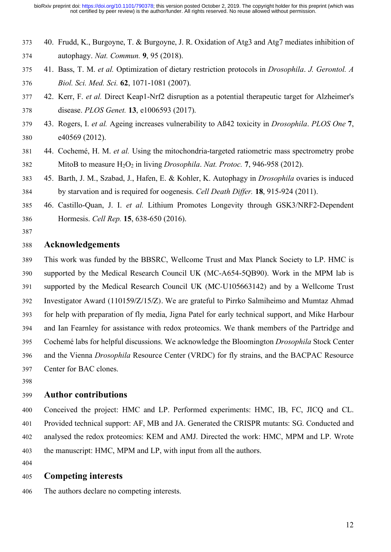- 40. Frudd, K., Burgoyne, T. & Burgoyne, J. R. Oxidation of Atg3 and Atg7 mediates inhibition of autophagy. *Nat. Commun.* **9**, 95 (2018).
- 41. Bass, T. M. *et al.* Optimization of dietary restriction protocols in *Drosophila*. *J. Gerontol. A Biol. Sci. Med. Sci.* **62**, 1071-1081 (2007).
- 42. Kerr, F. *et al.* Direct Keap1-Nrf2 disruption as a potential therapeutic target for Alzheimer's disease. *PLOS Genet.* **13**, e1006593 (2017).
- 43. Rogers, I. *et al.* Ageing increases vulnerability to Aß42 toxicity in *Drosophila*. *PLOS One* **7**, e40569 (2012).
- 44. Cochemé, H. M. *et al.* Using the mitochondria-targeted ratiometric mass spectrometry probe MitoB to measure H2O2 in living *Drosophila*. *Nat. Protoc.* **7**, 946-958 (2012).
- 45. Barth, J. M., Szabad, J., Hafen, E. & Kohler, K. Autophagy in *Drosophila* ovaries is induced by starvation and is required for oogenesis. *Cell Death Differ.* **18**, 915-924 (2011).
- 46. Castillo-Quan, J. I. *et al.* Lithium Promotes Longevity through GSK3/NRF2-Dependent Hormesis. *Cell Rep.* **15**, 638-650 (2016).
- 

#### **Acknowledgements**

- This work was funded by the BBSRC, Wellcome Trust and Max Planck Society to LP. HMC is supported by the Medical Research Council UK (MC-A654-5QB90). Work in the MPM lab is supported by the Medical Research Council UK (MC-U105663142) and by a Wellcome Trust Investigator Award (110159/Z/15/Z). We are grateful to Pirrko Salmiheimo and Mumtaz Ahmad for help with preparation of fly media, Jigna Patel for early technical support, and Mike Harbour and Ian Fearnley for assistance with redox proteomics. We thank members of the Partridge and Cochemé labs for helpful discussions. We acknowledge the Bloomington *Drosophila* Stock Center and the Vienna *Drosophila* Resource Center (VRDC) for fly strains, and the BACPAC Resource Center for BAC clones.
- 

#### **Author contributions**

 Conceived the project: HMC and LP. Performed experiments: HMC, IB, FC, JICQ and CL. Provided technical support: AF, MB and JA. Generated the CRISPR mutants: SG. Conducted and analysed the redox proteomics: KEM and AMJ. Directed the work: HMC, MPM and LP. Wrote the manuscript: HMC, MPM and LP, with input from all the authors.

#### **Competing interests**

The authors declare no competing interests.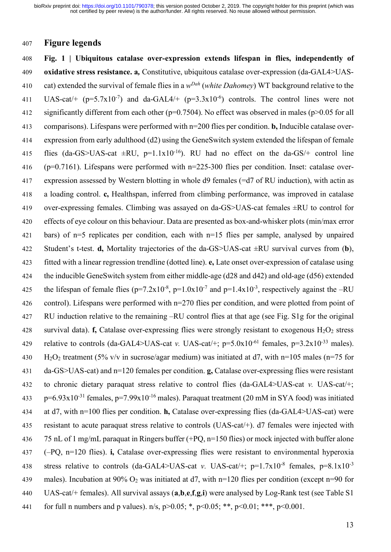#### **Figure legends**

 **Fig. 1 | Ubiquitous catalase over-expression extends lifespan in flies, independently of oxidative stress resistance. a***,* Constitutive, ubiquitous catalase over-expression (da-GAL4>UAScat) extended the survival of female flies in a *wDah* (*white Dahomey*) WT background relative to the 411 UAS-cat/+  $(p=5.7x10^{-7})$  and da-GAL4/+  $(p=3.3x10^{-6})$  controls. The control lines were not significantly different from each other (p=0.7504). No effect was observed in males (p>0.05 for all comparisons). Lifespans were performed with n=200 flies per condition. **b,** Inducible catalase over- expression from early adulthood (d2) using the GeneSwitch system extended the lifespan of female 415 flies (da-GS>UAS-cat  $\pm$ RU, p=1.1x10<sup>-16</sup>). RU had no effect on the da-GS/+ control line (p=0.7161). Lifespans were performed with n=225-300 flies per condition. Inset: catalase over- expression assessed by Western blotting in whole d9 females (=d7 of RU induction), with actin as a loading control. **c,** Healthspan, inferred from climbing performance, was improved in catalase over-expressing females. Climbing was assayed on da-GS>UAS-cat females ±RU to control for effects of eye colour on this behaviour. Data are presented as box-and-whisker plots (min/max error bars) of n=5 replicates per condition, each with n=15 flies per sample, analysed by unpaired Student's t-test. **d,** Mortality trajectories of the da-GS>UAS-cat ±RU survival curves from (**b**), fitted with a linear regression trendline (dotted line). **e,** Late onset over-expression of catalase using the inducible GeneSwitch system from either middle-age (d28 and d42) and old-age (d56) extended 425 the lifespan of female flies ( $p=7.2x10^{-8}$ ,  $p=1.0x10^{-7}$  and  $p=1.4x10^{-3}$ , respectively against the -RU control). Lifespans were performed with n=270 flies per condition, and were plotted from point of RU induction relative to the remaining –RU control flies at that age (see Fig. S1g for the original 428 survival data). **f,** Catalase over-expressing flies were strongly resistant to exogenous  $H_2O_2$  stress relative to controls (da-GAL4>UAS-cat *v*. UAS-cat/+;  $p=5.0x10^{-61}$  females,  $p=3.2x10^{-33}$  males). 430 H<sub>2</sub>O<sub>2</sub> treatment (5% v/v in sucrose/agar medium) was initiated at d7, with n=105 males (n=75 for da-GS>UAS-cat) and n=120 females per condition. **g,** Catalase over-expressing flies were resistant to chronic dietary paraquat stress relative to control flies (da-GAL4>UAS-cat *v.* UAS-cat/+;  $p=6.93x10^{-31}$  females,  $p=7.99x10^{-16}$  males). Paraquat treatment (20 mM in SYA food) was initiated at d7, with n=100 flies per condition. **h,** Catalase over-expressing flies (da-GAL4>UAS-cat) were resistant to acute paraquat stress relative to controls (UAS-cat/+). d7 females were injected with 75 nL of 1 mg/mL paraquat in Ringers buffer (+PQ, n=150 flies) or mock injected with buffer alone (–PQ, n=120 flies). **i,** Catalase over-expressing flies were resistant to environmental hyperoxia 438 stress relative to controls (da-GAL4>UAS-cat *v*. UAS-cat/+; p=1.7x10<sup>-8</sup> females, p=8.1x10<sup>-3</sup> males). Incubation at 90% O2 was initiated at d7, with n=120 flies per condition (except n=90 for UAS-cat/+ females). All survival assays (**a**,**b**,**e**,**f**,**g**,**i**) were analysed by Log-Rank test (see Table S1 441 for full n numbers and p values).  $n/s$ ,  $p > 0.05$ ; \*,  $p < 0.05$ ; \*\*,  $p < 0.01$ ; \*\*\*,  $p < 0.001$ .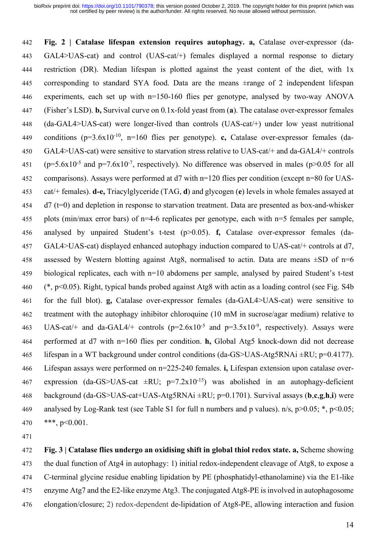**Fig. 2 | Catalase lifespan extension requires autophagy. a,** Catalase over-expressor (da- GAL4>UAS-cat) and control (UAS-cat/+) females displayed a normal response to dietary restriction (DR). Median lifespan is plotted against the yeast content of the diet, with 1x corresponding to standard SYA food. Data are the means ±range of 2 independent lifespan experiments, each set up with n=150-160 flies per genotype, analysed by two-way ANOVA (Fisher's LSD). **b,** Survival curve on 0.1x-fold yeast from (**a**). The catalase over-expressor females (da-GAL4>UAS-cat) were longer-lived than controls (UAS-cat/+) under low yeast nutritional conditions (p=3.6x10-10 , n=160 flies per genotype). **c,** Catalase over-expressor females (da- GAL4>UAS-cat) were sensitive to starvation stress relative to UAS-cat/+ and da-GAL4/+ controls 451 ( $p=5.6x10^{-5}$  and  $p=7.6x10^{-7}$ , respectively). No difference was observed in males ( $p>0.05$  for all comparisons). Assays were performed at d7 with n=120 flies per condition (except n=80 for UAS- cat/+ females). **d-e,** Triacylglyceride (TAG, **d**) and glycogen (**e**) levels in whole females assayed at d7 (t=0) and depletion in response to starvation treatment. Data are presented as box-and-whisker plots (min/max error bars) of n=4-6 replicates per genotype, each with n=5 females per sample, analysed by unpaired Student's t-test (p>0.05). **f,** Catalase over-expressor females (da- GAL4>UAS-cat) displayed enhanced autophagy induction compared to UAS-cat/+ controls at d7, 458 assessed by Western blotting against Atg8, normalised to actin. Data are means  $\pm SD$  of n=6 biological replicates, each with n=10 abdomens per sample, analysed by paired Student's t-test (\*, p<0.05). Right, typical bands probed against Atg8 with actin as a loading control (see Fig. S4b for the full blot). **g,** Catalase over-expressor females (da-GAL4>UAS-cat) were sensitive to treatment with the autophagy inhibitor chloroquine (10 mM in sucrose/agar medium) relative to 463 UAS-cat/+ and da-GAL4/+ controls  $(p=2.6x10^{-5}$  and  $p=3.5x10^{-9}$ , respectively). Assays were performed at d7 with n=160 flies per condition. **h,** Global Atg5 knock-down did not decrease 465 lifespan in a WT background under control conditions (da-GS>UAS-Atg5RNAi  $\pm$ RU; p=0.4177). Lifespan assays were performed on n=225-240 females. **i,** Lifespan extension upon catalase over-467 expression (da-GS>UAS-cat  $\pm \text{RU}$ ; p=7.2x10<sup>-15</sup>) was abolished in an autophagy-deficient background (da-GS>UAS-cat+UAS-Atg5RNAi ±RU; p=0.1701). Survival assays (**b**,**c**,**g**,**h**,**i**) were 469 analysed by Log-Rank test (see Table S1 for full n numbers and p values).  $n/s$ ,  $p > 0.05$ ;  $\ast$ ,  $p < 0.05$ ; \*\*\*, p<0.001.

 **Fig. 3 | Catalase flies undergo an oxidising shift in global thiol redox state. a,** Scheme showing the dual function of Atg4 in autophagy: 1) initial redox-independent cleavage of Atg8, to expose a C-terminal glycine residue enabling lipidation by PE (phosphatidyl-ethanolamine) via the E1-like enzyme Atg7 and the E2-like enzyme Atg3. The conjugated Atg8-PE is involved in autophagosome elongation/closure; 2) redox-dependent de-lipidation of Atg8-PE, allowing interaction and fusion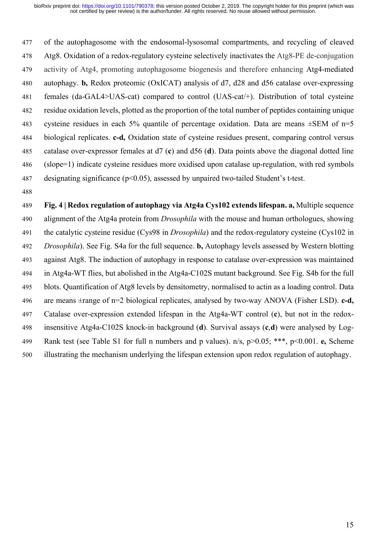of the autophagosome with the endosomal-lysosomal compartments, and recycling of cleaved Atg8. Oxidation of a redox-regulatory cysteine selectively inactivates the Atg8-PE de-conjugation activity of Atg4, promoting autophagosome biogenesis and therefore enhancing Atg4-mediated autophagy. **b,** Redox proteomic (OxICAT) analysis of d7, d28 and d56 catalase over-expressing females (da-GAL4>UAS-cat) compared to control (UAS-cat/+). Distribution of total cysteine residue oxidation levels, plotted as the proportion of the total number of peptides containing unique 483 cysteine residues in each 5% quantile of percentage oxidation. Data are means  $\pm$ SEM of n=5 biological replicates. **c-d,** Oxidation state of cysteine residues present, comparing control versus catalase over-expressor females at d7 (**c**) and d56 (**d**). Data points above the diagonal dotted line (slope=1) indicate cysteine residues more oxidised upon catalase up-regulation, with red symbols designating significance (p<0.05), assessed by unpaired two-tailed Student's t-test.

 **Fig. 4 | Redox regulation of autophagy via Atg4a Cys102 extends lifespan. a,** Multiple sequence alignment of the Atg4a protein from *Drosophila* with the mouse and human orthologues, showing the catalytic cysteine residue (Cys98 in *Drosophila*) and the redox-regulatory cysteine (Cys102 in *Drosophila*). See Fig. S4a for the full sequence. **b,** Autophagy levels assessed by Western blotting against Atg8. The induction of autophagy in response to catalase over-expression was maintained in Atg4a-WT flies, but abolished in the Atg4a-C102S mutant background. See Fig. S4b for the full blots. Quantification of Atg8 levels by densitometry, normalised to actin as a loading control. Data are means ±range of n=2 biological replicates, analysed by two-way ANOVA (Fisher LSD). **c-d,** Catalase over-expression extended lifespan in the Atg4a-WT control (**c**), but not in the redox- insensitive Atg4a-C102S knock-in background (**d**). Survival assays (**c**,**d**) were analysed by Log- Rank test (see Table S1 for full n numbers and p values). n/s, p>0.05; \*\*\*, p<0.001. **e,** Scheme illustrating the mechanism underlying the lifespan extension upon redox regulation of autophagy.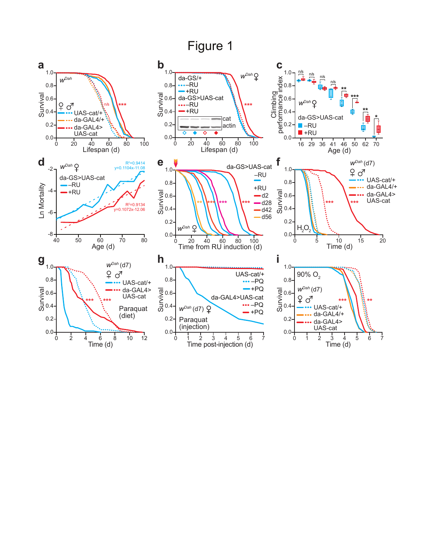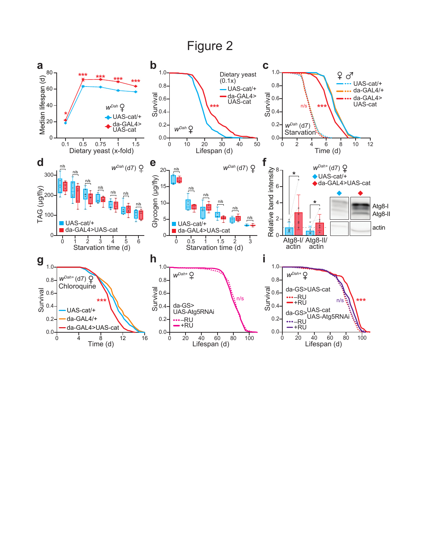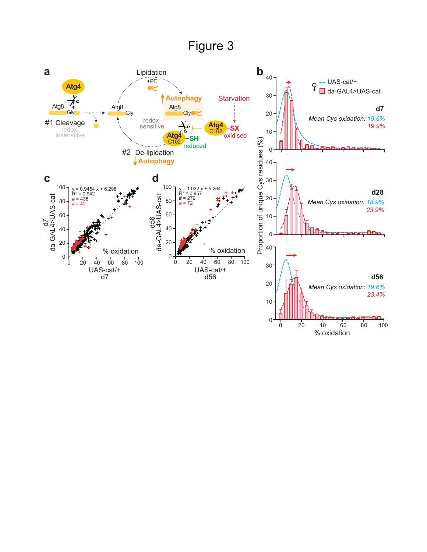# Figure 3